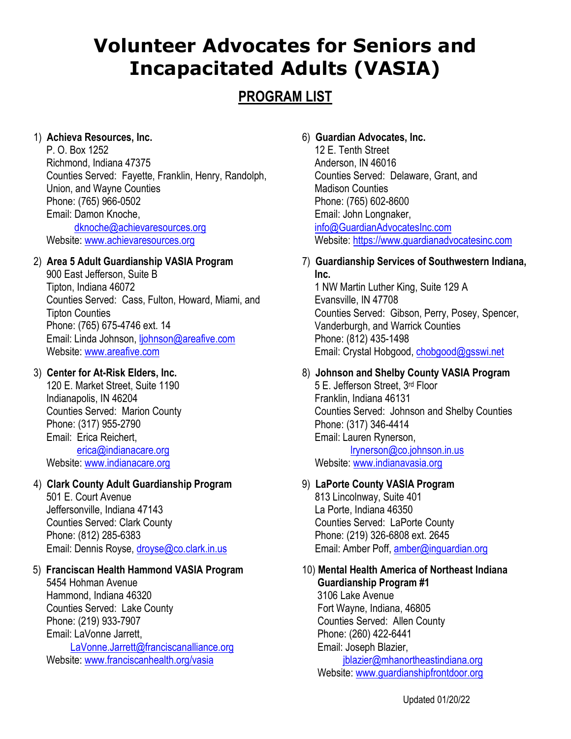# **Volunteer Advocates for Seniors and Incapacitated Adults (VASIA)**

## **PROGRAM LIST**

## 1) **Achieva Resources, Inc.**

P. O. Box 1252 Richmond, Indiana 47375 Counties Served: Fayette, Franklin, Henry, Randolph, Union, and Wayne Counties Phone: (765) 966-0502 Email: Damon Knoche, [dknoche@achievaresources.org](mailto:dknoche@achievaresources.org) Website[: www.achievaresources.org](http://www.achievaresources.org/)

## 2) **Area 5 Adult Guardianship VASIA Program**

900 East Jefferson, Suite B Tipton, Indiana 46072 Counties Served: Cass, Fulton, Howard, Miami, and Tipton Counties Phone: (765) 675-4746 ext. 14 Email: Linda Johnson, [ljohnson@areafive.com](mailto:ljohnson@areafive.com) Website[: www.areafive.com](http://www.areafive.com/)

## 3) **Center for At-Risk Elders, Inc.**

120 E. Market Street, Suite 1190 Indianapolis, IN 46204 Counties Served: Marion County Phone: (317) 955-2790 Email: Erica Reichert, [erica@indianacare.org](mailto:erica@indianacare.org) Website[: www.indianacare.org](http://www.indianacare.org/)

## 4) **Clark County Adult Guardianship Program**

501 E. Court Avenue Jeffersonville, Indiana 47143 Counties Served: Clark County Phone: (812) 285-6383 Email: Dennis Royse, [droyse@co.clark.in.us](mailto:droyse@co.clark.in.us)

## 5) **Franciscan Health Hammond VASIA Program**

5454 Hohman Avenue Hammond, Indiana 46320 Counties Served: Lake County Phone: (219) 933-7907 Email: LaVonne Jarrett, [LaVonne.Jarrett@franciscanalliance.org](mailto:LaVonne.Jarrett@franciscanalliance.org) Website[: www.franciscanhealth.org/vasia](http://www.franciscanhealth.org/vasia)

## 6) **Guardian Advocates, Inc.**

12 E. Tenth Street Anderson, IN 46016 Counties Served: Delaware, Grant, and Madison Counties Phone: (765) 602-8600 Email: John Longnaker, [info@GuardianAdvocatesInc.com](mailto:info@GuardianAdvocatesInc.com) Website: [https://www.guardianadvocatesinc.com](https://www.guardianadvocatesinc.com/)

## 7) **Guardianship Services of Southwestern Indiana, Inc.**

1 NW Martin Luther King, Suite 129 A Evansville, IN 47708 Counties Served: Gibson, Perry, Posey, Spencer, Vanderburgh, and Warrick Counties Phone: (812) 435-1498 Email: Crystal Hobgood, [chobgood@gsswi.net](mailto:chobgood@gsswi.net)

## 8) **Johnson and Shelby County VASIA Program**

5 E. Jefferson Street, 3<sup>rd</sup> Floor Franklin, Indiana 46131 Counties Served: Johnson and Shelby Counties Phone: (317) 346-4414 Email: Lauren Rynerson, [lrynerson@co.johnson.in.us](mailto:lrynerson@co.johnson.in.us)

Website[: www.indianavasia.org](http://www.indianavasia.org/)

## 9) **LaPorte County VASIA Program**

813 Lincolnway, Suite 401 La Porte, Indiana 46350 Counties Served: LaPorte County Phone: (219) 326-6808 ext. 2645 Email: Amber Poff, [amber@inguardian.org](mailto:amber@inguardian.org)

#### 10) **Mental Health America of Northeast Indiana Guardianship Program #1**

3106 Lake Avenue Fort Wayne, Indiana, 46805 Counties Served: Allen County Phone: (260) 422-6441 Email: Joseph Blazier, [jblazier@mhanortheastindiana.org](mailto:jblazier@mhanortheastindiana.org) Website: www.quardianshipfrontdoor.org